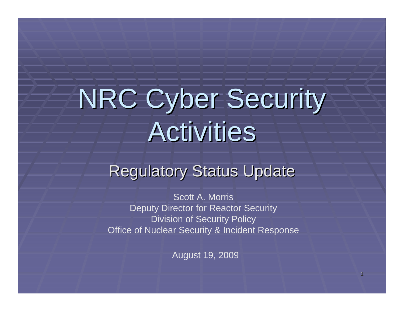# **NRC Cyber Security Activities**

# Regulatory Status Update

Scott A. MorrisDeputy Director for Reactor Security Division of Security Policy Office of Nuclear Security & Incident Response

August 19, 2009

1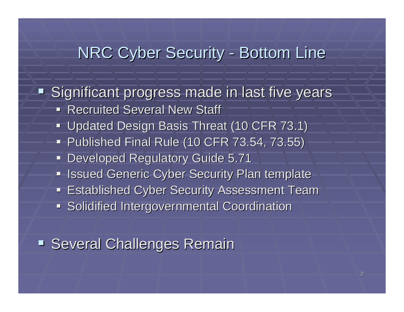#### NRC Cyber Security -- Bottom Line

**- Significant progress made in last five years <a>> Recruited Several New Staff** 

- **Updated Design Basis Threat (10 CFR 73.1)** Updated Design Basis Threat (10 CFR 73.1)
- **Published Final Rule (10 CFR 73.54, 73.55)** Published Final Rule (10 CFR 73.54, 73.55)
- **Developed Regulatory Guide 5.71**
- **In Issued Generic Cyber Security Plan template**
- **Established Cyber Security Assessment Team**
- **Solidified Intergovernmental Coordination**

**Several Challenges Remain** Several Challenges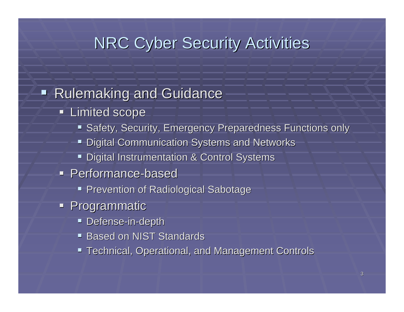#### **NRC Cyber Security Activities**

#### **Rulemaking and Guidance**

- **Limited scope** 
	- **Safety, Security, Emergency Preparedness Functions only**
	- Digital Communication Systems and Networks
	- **Digital Instrumentation & Control Systems**
- **Performance-based** 
	- **Prevention of Radiological Sabotage**
- **Programmatic** 
	- **Defense-in-depth**
	- **Based on NIST Standards**
	- Technical, Operational, and Management Controls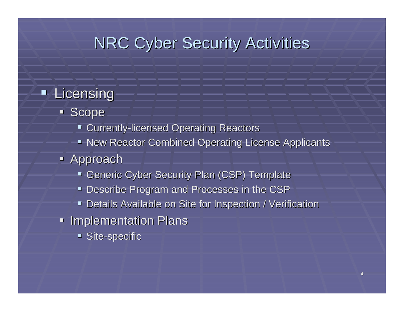### **NRC Cyber Security Activities**

#### **Licensing**

- **Scope** 
	- **E** Currently-licensed Operating Reactors
	- New Reactor Combined Operating License Applicants
- **Approach** 
	- Generic Cyber Security Plan (CSP) Template
	- Describe Program and Processes in the CSP
	- **Details Available on Site for Inspection / Verification** •
- **Implementation Plans** 
	- **Site-specific**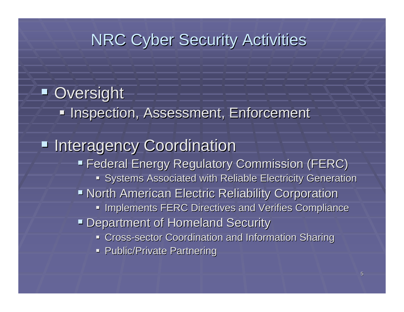## **NRC Cyber Security Activities**

### **D** Oversight **Inspection, Assessment, Enforcement, Inspection, Assessment Interagency Coordination Federal Energy Regulatory Commission (FERC) Federal Energy Regulatory Commission (FERC) Systems Associated with Reliable Electricity Generation Example 2 North American Electric Reliability Corporation Implements FERC Directives and Verifies Compliance Department of Homeland Security - Cross-sector Coordination and Information Sharing Public/Private Partnering Public/Private Partnering**